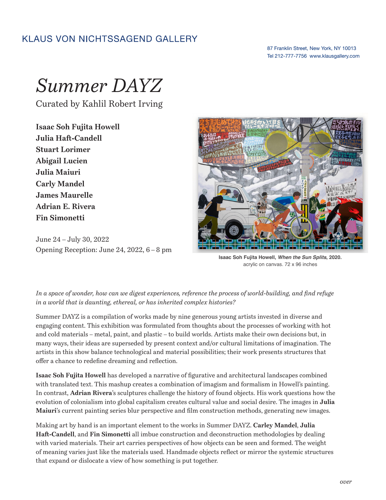## **KLAUS VON NICHTSSAGEND GALLERY**

## 87 Franklin Street, New York, NY 10013 Tel 212-777-7756 www.klausgallery.com

## *Summer DAYZ*

Curated by Kahlil Robert Irving

**Isaac Soh Fujita Howell Julia Haft-Candell Stuart Lorimer Abigail Lucien Julia Maiuri Carly Mandel James Maurelle Adrian E. Rivera Fin Simonetti**

June 24 – July 30, 2022 Opening Reception: June 24, 2022, 6 – 8 pm



**Isaac Soh Fujita Howell, When the Sun Splits, 2020.**  acrylic on canvas. 72 x 96 inches

*In a space of wonder, how can we digest experiences, reference the process of world-building, and find refuge in a world that is daunting, ethereal, or has inherited complex histories?*

Summer DAYZ is a compilation of works made by nine generous young artists invested in diverse and engaging content. This exhibition was formulated from thoughts about the processes of working with hot and cold materials – metal, paint, and plastic – to build worlds. Artists make their own decisions but, in many ways, their ideas are superseded by present context and/or cultural limitations of imagination. The artists in this show balance technological and material possibilities; their work presents structures that offer a chance to redefine dreaming and reflection.

**Isaac Soh Fujita Howell** has developed a narrative of figurative and architectural landscapes combined with translated text. This mashup creates a combination of imagism and formalism in Howell's painting. In contrast, **Adrian Rivera**'s sculptures challenge the history of found objects. His work questions how the evolution of colonialism into global capitalism creates cultural value and social desire. The images in **Julia Maiuri**'s current painting series blur perspective and film construction methods, generating new images.

Making art by hand is an important element to the works in Summer DAYZ. **Carley Mandel**, **Julia Haft-Candell**, and **Fin Simonetti** all imbue construction and deconstruction methodologies by dealing with varied materials. Their art carries perspectives of how objects can be seen and formed. The weight of meaning varies just like the materials used. Handmade objects reflect or mirror the systemic structures that expand or dislocate a view of how something is put together.